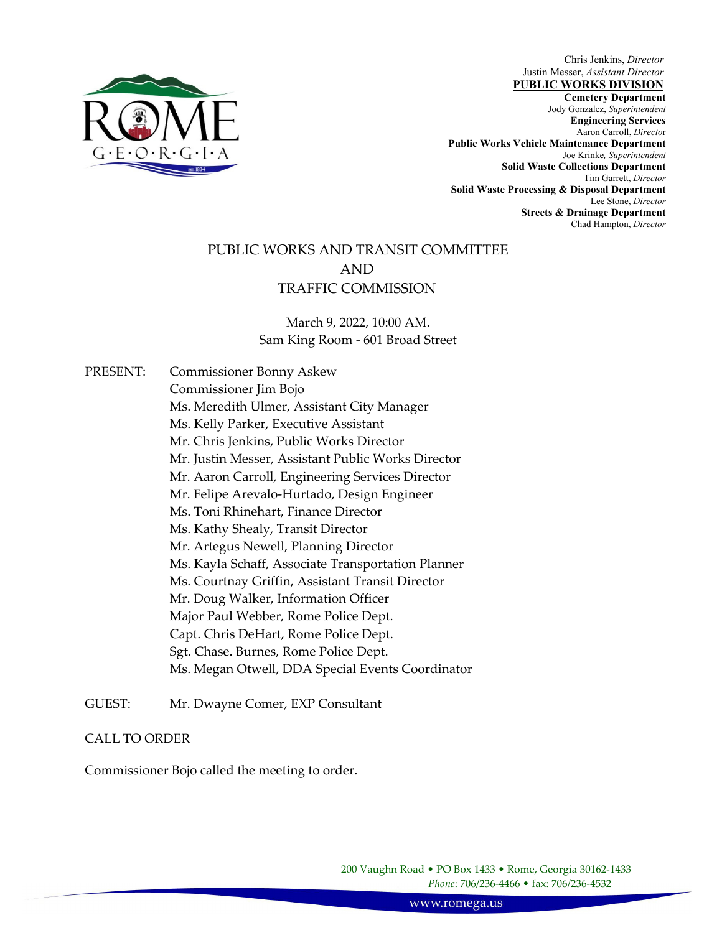

Chris Jenkins, *Director* Justin Messer, *Assistant Director*

 , **Cemetery Department**  Jody Gonzalez, *Superintendent* **Jody Gonzalez**, *Superintendent* **PUBLIC WORKS DIVISION Engineering Services**  Aaron Carroll, *Directo*r **Public Works Vehicle Maintenance Department**  Joe Krinke*, Superintendent*  **Solid Waste Collections Department**  Tim Garrett, *Director* **Solid Waste Processing & Disposal Department**  Lee Stone, *Director* **Streets & Drainage Department**  Chad Hampton, *Director* 

# PUBLIC WORKS AND TRANSIT COMMITTEE AND TRAFFIC COMMISSION

March 9, 2022, 10:00 AM. Sam King Room ‐ 601 Broad Street

PRESENT: Commissioner Bonny Askew Commissioner Jim Bojo Ms. Meredith Ulmer, Assistant City Manager Ms. Kelly Parker, Executive Assistant Mr. Chris Jenkins, Public Works Director Mr. Justin Messer, Assistant Public Works Director Mr. Aaron Carroll, Engineering Services Director Mr. Felipe Arevalo‐Hurtado, Design Engineer Ms. Toni Rhinehart, Finance Director Ms. Kathy Shealy, Transit Director Mr. Artegus Newell, Planning Director Ms. Kayla Schaff, Associate Transportation Planner Ms. Courtnay Griffin, Assistant Transit Director Mr. Doug Walker, Information Officer Major Paul Webber, Rome Police Dept. Capt. Chris DeHart, Rome Police Dept. Sgt. Chase. Burnes, Rome Police Dept. Ms. Megan Otwell, DDA Special Events Coordinator

GUEST: Mr. Dwayne Comer, EXP Consultant

### CALL TO ORDER

Commissioner Bojo called the meeting to order.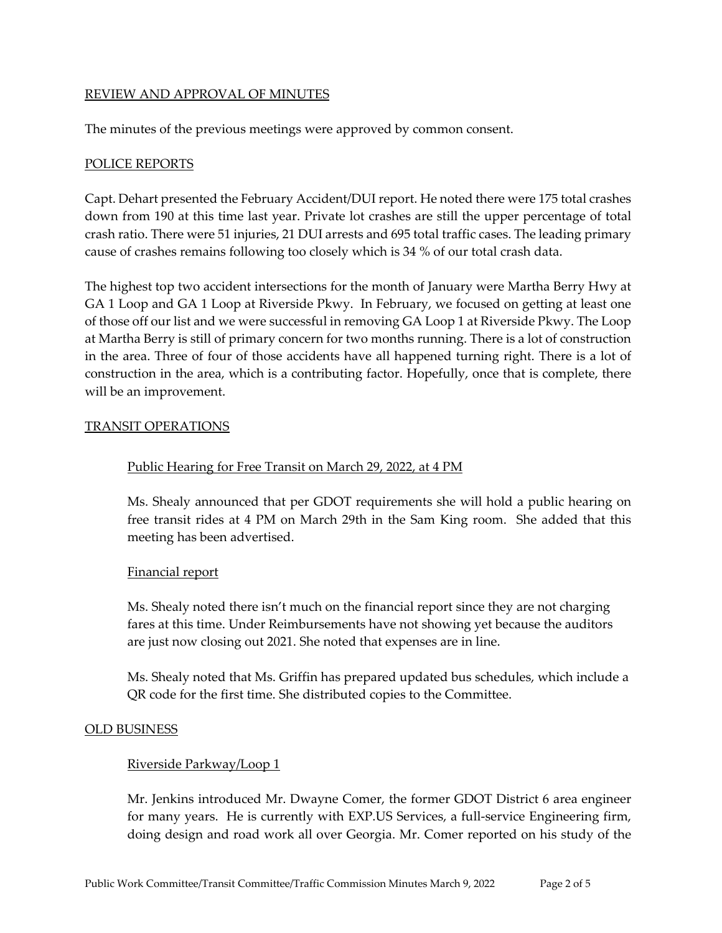#### REVIEW AND APPROVAL OF MINUTES

The minutes of the previous meetings were approved by common consent.

#### POLICE REPORTS

Capt. Dehart presented the February Accident/DUI report. He noted there were 175 total crashes down from 190 at this time last year. Private lot crashes are still the upper percentage of total crash ratio. There were 51 injuries, 21 DUI arrests and 695 total traffic cases. The leading primary cause of crashes remains following too closely which is 34 % of our total crash data.

The highest top two accident intersections for the month of January were Martha Berry Hwy at GA 1 Loop and GA 1 Loop at Riverside Pkwy. In February, we focused on getting at least one of those off our list and we were successful in removing GA Loop 1 at Riverside Pkwy. The Loop at Martha Berry is still of primary concern for two months running. There is a lot of construction in the area. Three of four of those accidents have all happened turning right. There is a lot of construction in the area, which is a contributing factor. Hopefully, once that is complete, there will be an improvement.

#### TRANSIT OPERATIONS

#### Public Hearing for Free Transit on March 29, 2022, at 4 PM

Ms. Shealy announced that per GDOT requirements she will hold a public hearing on free transit rides at 4 PM on March 29th in the Sam King room. She added that this meeting has been advertised.

#### Financial report

Ms. Shealy noted there isn't much on the financial report since they are not charging fares at this time. Under Reimbursements have not showing yet because the auditors are just now closing out 2021. She noted that expenses are in line.

Ms. Shealy noted that Ms. Griffin has prepared updated bus schedules, which include a QR code for the first time. She distributed copies to the Committee.

#### OLD BUSINESS

#### Riverside Parkway/Loop 1

Mr. Jenkins introduced Mr. Dwayne Comer, the former GDOT District 6 area engineer for many years. He is currently with EXP.US Services, a full-service Engineering firm, doing design and road work all over Georgia. Mr. Comer reported on his study of the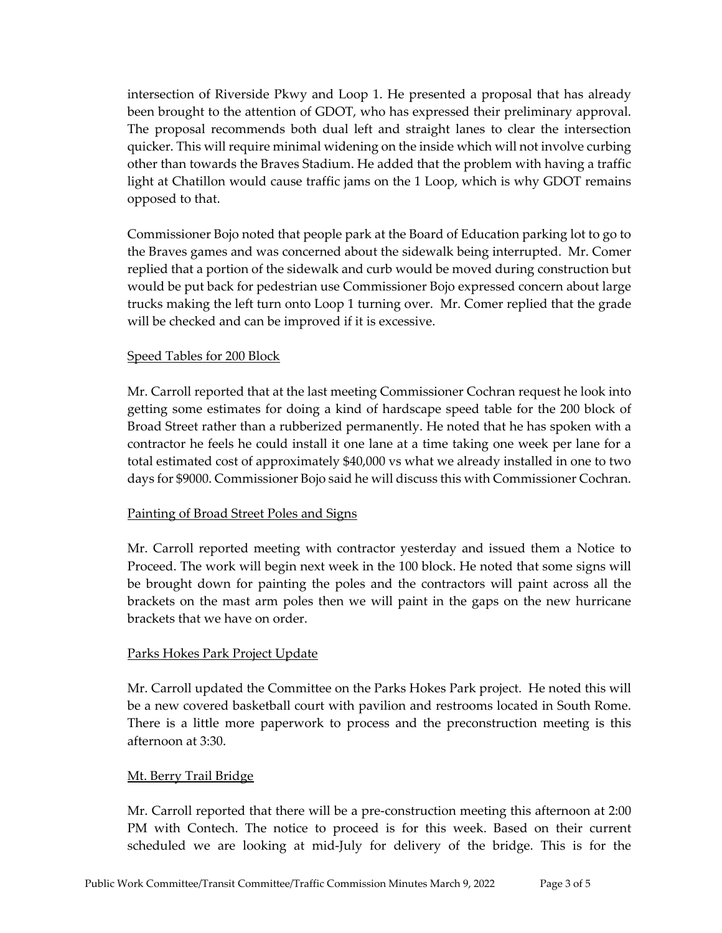intersection of Riverside Pkwy and Loop 1. He presented a proposal that has already been brought to the attention of GDOT, who has expressed their preliminary approval. The proposal recommends both dual left and straight lanes to clear the intersection quicker. This will require minimal widening on the inside which will not involve curbing other than towards the Braves Stadium. He added that the problem with having a traffic light at Chatillon would cause traffic jams on the 1 Loop, which is why GDOT remains opposed to that.

Commissioner Bojo noted that people park at the Board of Education parking lot to go to the Braves games and was concerned about the sidewalk being interrupted. Mr. Comer replied that a portion of the sidewalk and curb would be moved during construction but would be put back for pedestrian use Commissioner Bojo expressed concern about large trucks making the left turn onto Loop 1 turning over. Mr. Comer replied that the grade will be checked and can be improved if it is excessive.

#### Speed Tables for 200 Block

Mr. Carroll reported that at the last meeting Commissioner Cochran request he look into getting some estimates for doing a kind of hardscape speed table for the 200 block of Broad Street rather than a rubberized permanently. He noted that he has spoken with a contractor he feels he could install it one lane at a time taking one week per lane for a total estimated cost of approximately \$40,000 vs what we already installed in one to two days for \$9000. Commissioner Bojo said he will discuss this with Commissioner Cochran.

#### Painting of Broad Street Poles and Signs

Mr. Carroll reported meeting with contractor yesterday and issued them a Notice to Proceed. The work will begin next week in the 100 block. He noted that some signs will be brought down for painting the poles and the contractors will paint across all the brackets on the mast arm poles then we will paint in the gaps on the new hurricane brackets that we have on order.

#### Parks Hokes Park Project Update

Mr. Carroll updated the Committee on the Parks Hokes Park project. He noted this will be a new covered basketball court with pavilion and restrooms located in South Rome. There is a little more paperwork to process and the preconstruction meeting is this afternoon at 3:30.

#### Mt. Berry Trail Bridge

Mr. Carroll reported that there will be a pre‐construction meeting this afternoon at 2:00 PM with Contech. The notice to proceed is for this week. Based on their current scheduled we are looking at mid‐July for delivery of the bridge. This is for the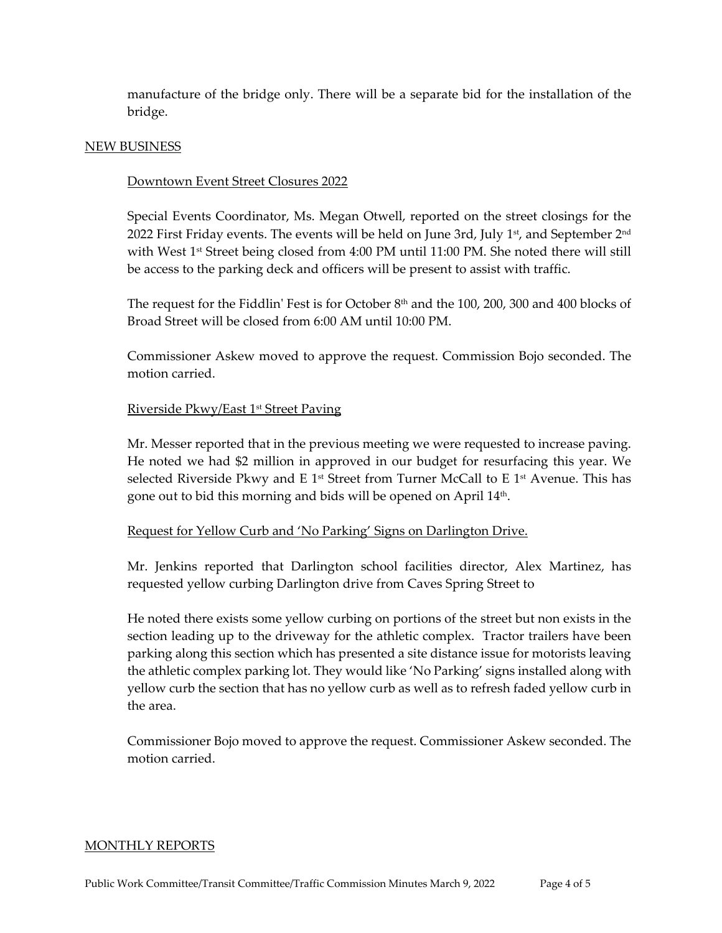manufacture of the bridge only. There will be a separate bid for the installation of the bridge.

#### NEW BUSINESS

#### Downtown Event Street Closures 2022

Special Events Coordinator, Ms. Megan Otwell, reported on the street closings for the 2022 First Friday events. The events will be held on June 3rd, July  $1<sup>st</sup>$ , and September  $2<sup>nd</sup>$ with West 1<sup>st</sup> Street being closed from 4:00 PM until 11:00 PM. She noted there will still be access to the parking deck and officers will be present to assist with traffic.

The request for the Fiddlin' Fest is for October  $8<sup>th</sup>$  and the 100, 200, 300 and 400 blocks of Broad Street will be closed from 6:00 AM until 10:00 PM.

Commissioner Askew moved to approve the request. Commission Bojo seconded. The motion carried.

#### Riverside Pkwy/East 1st Street Paving

Mr. Messer reported that in the previous meeting we were requested to increase paving. He noted we had \$2 million in approved in our budget for resurfacing this year. We selected Riverside Pkwy and E 1<sup>st</sup> Street from Turner McCall to E 1<sup>st</sup> Avenue. This has gone out to bid this morning and bids will be opened on April 14th.

#### Request for Yellow Curb and 'No Parking' Signs on Darlington Drive.

Mr. Jenkins reported that Darlington school facilities director, Alex Martinez, has requested yellow curbing Darlington drive from Caves Spring Street to

He noted there exists some yellow curbing on portions of the street but non exists in the section leading up to the driveway for the athletic complex. Tractor trailers have been parking along this section which has presented a site distance issue for motorists leaving the athletic complex parking lot. They would like 'No Parking' signs installed along with yellow curb the section that has no yellow curb as well as to refresh faded yellow curb in the area.

Commissioner Bojo moved to approve the request. Commissioner Askew seconded. The motion carried.

#### MONTHLY REPORTS